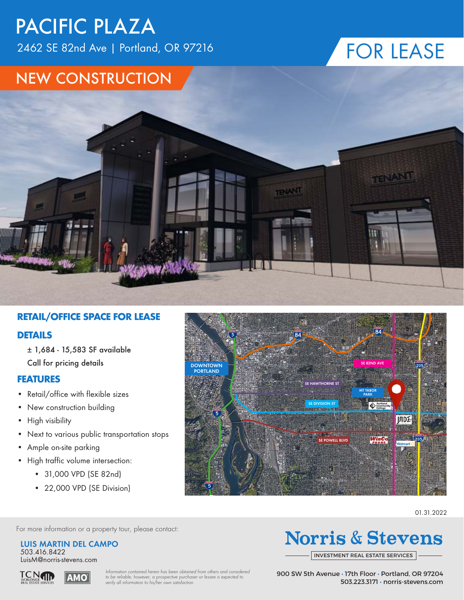2462 SE 82nd Ave | Portland, OR 97216

## FOR LEASE

#### NEW CONSTRUCTION



#### **RETAIL/OFFICE SPACE FOR LEASE**

#### **DETAILS**

± 1,684 - 15,583 SF available Call for pricing details

#### **FEATURES**

- Retail/office with flexible sizes
- New construction building
- High visibility
- Next to various public transportation stops
- Ample on-site parking
- High traffic volume intersection:
	- 31,000 VPD (SE 82nd)
	- 22,000 VPD (SE Division)



01.31.2022

For more information or a property tour, please contact:

**LUIS MARTIN DEL CAMPO** 503.416.8422

LuisM@norris-stevens.com



*Information contained herein has been obtained from others and considered to be reliable; however, a prospective purchaser or lessee is expected to verify all information to his/her own satisfaction.*

### **Norris & Stevens**

INVESTMENT REAL ESTATE SERVICES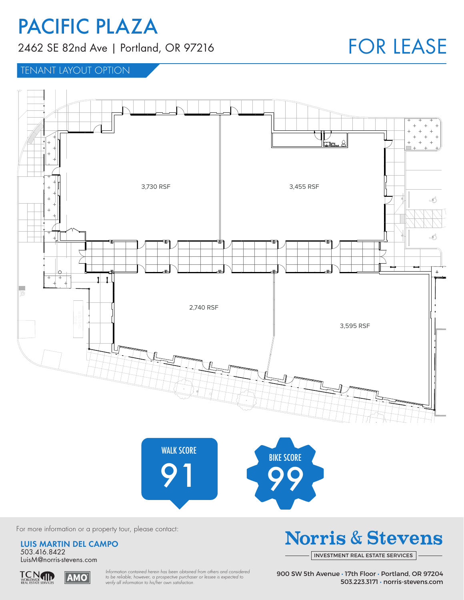2462 SE 82nd Ave | Portland, OR 97216

## FOR LEASE

TENANT LAYOUT OPTION



For more information or a property tour, please contact:

**LUIS MARTIN DEL CAMPO** 503.416.8422 LuisM@norris-stevens.com



*Information contained herein has been obtained from others and considered to be reliable; however, a prospective purchaser or lessee is expected to verify all information to his/her own satisfaction.*

### **Norris & Stevens**

INVESTMENT REAL ESTATE SERVICES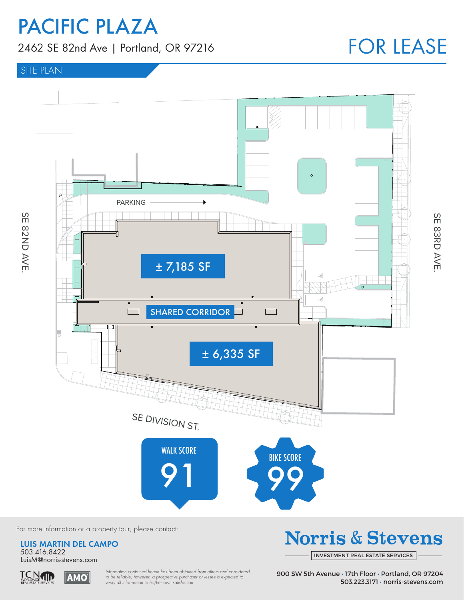2462 SE 82nd Ave | Portland, OR 97216

## FOR LEASE

#### SITE PLAN



For more information or a property tour, please contact:

**LUIS MARTIN DEL CAMPO** 503.416.8422 LuisM@norris-stevens.com



TCN<sub>WORLDWIDE</sub> **AMO**  *Information contained herein has been obtained from others and considered to be reliable; however, a prospective purchaser or lessee is expected to verify all information to his/her own satisfaction.*

## **Norris & Stevens**

INVESTMENT REAL ESTATE SERVICES

SE 83RD AVE SE 83RD AVE.